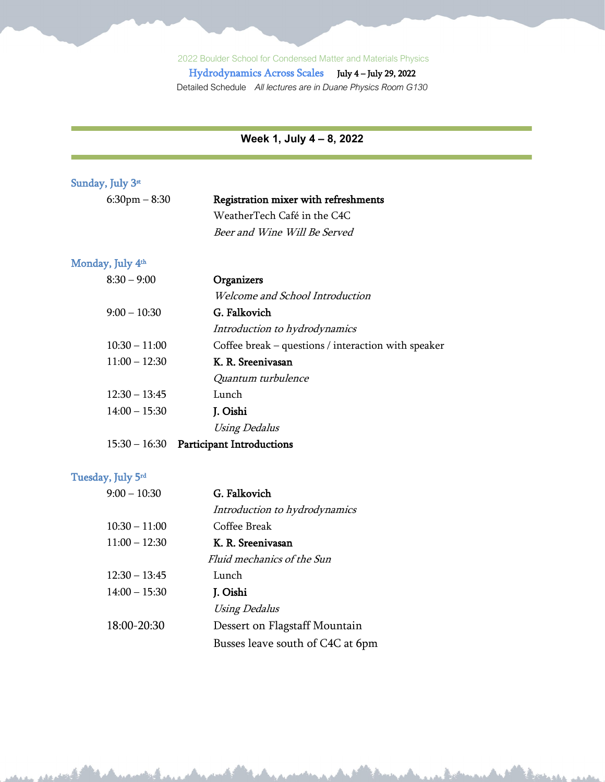Hydrodynamics Across Scales July 4 – July 29, 2022 Detailed Schedule *All lectures are in Duane Physics Room G130*

**Week 1, July 4 – 8, 2022**

| Sunday, July 3st  |                                                     |
|-------------------|-----------------------------------------------------|
| $6:30$ pm $-8:30$ | Registration mixer with refreshments                |
|                   | WeatherTech Café in the C4C                         |
|                   | Beer and Wine Will Be Served                        |
|                   |                                                     |
| Monday, July 4th  |                                                     |
| $8:30 - 9:00$     | Organizers                                          |
|                   | Welcome and School Introduction                     |
| $9:00 - 10:30$    | G. Falkovich                                        |
|                   | Introduction to hydrodynamics                       |
| $10:30 - 11:00$   | Coffee break – questions / interaction with speaker |
| $11:00 - 12:30$   | K. R. Sreenivasan                                   |
|                   | Quantum turbulence                                  |
| $12:30 - 13:45$   | Lunch                                               |
| $14:00 - 15:30$   | J. Oishi                                            |
|                   | <b>Using Dedalus</b>                                |
| $15:30 - 16:30$   | <b>Participant Introductions</b>                    |
|                   |                                                     |
| Tuesday, July 5rd |                                                     |
| $9:00 - 10:30$    | G. Falkovich                                        |
|                   | Introduction to hydrodynamics                       |
| $10:30 - 11:00$   | Coffee Break                                        |
| $11:00 - 12:30$   | K. R. Sreenivasan                                   |
|                   | Fluid mechanics of the Sun                          |
| $12:30 - 13:45$   | Lunch                                               |
| $14:00 - 15:30$   | J. Oishi                                            |
|                   | <b>Using Dedalus</b>                                |
| 18:00-20:30       | Dessert on Flagstaff Mountain                       |
|                   | Busses leave south of C4C at 6pm                    |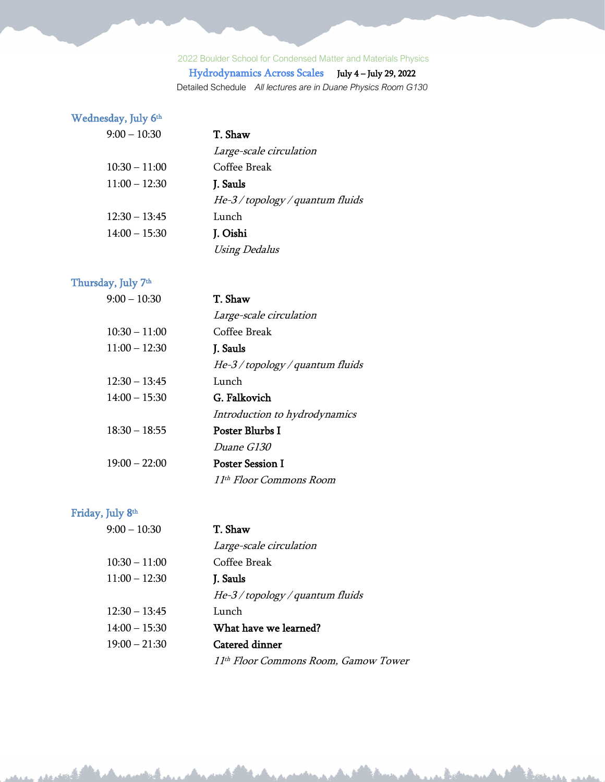# Hydrodynamics Across Scales July 4 – July 29, 2022

Detailed Schedule *All lectures are in Duane Physics Room G130*

## Wednesday, July 6<sup>th</sup>

## 9:00 – 10:30 T. Shaw

|                 | Large-scale circulation          |
|-----------------|----------------------------------|
| $10:30 - 11:00$ | Coffee Break                     |
| $11:00 - 12:30$ | J. Sauls                         |
|                 | He-3 / topology / quantum fluids |
| $12:30 - 13:45$ | Lunch                            |
| $14:00 - 15:30$ | J. Oishi                         |
|                 | <b>Using Dedalus</b>             |

## Thursday, July 7<sup>th</sup>

| $9:00 - 10:30$  | T. Shaw                          |
|-----------------|----------------------------------|
|                 | Large-scale circulation          |
| $10:30 - 11:00$ | Coffee Break                     |
| $11:00 - 12:30$ | J. Sauls                         |
|                 | He-3 / topology / quantum fluids |
| $12:30 - 13:45$ | Lunch                            |
| $14:00 - 15:30$ | G. Falkovich                     |
|                 | Introduction to hydrodynamics    |
| $18:30 - 18:55$ | Poster Blurbs I                  |
|                 | <i>Duane G130</i>                |
| $19:00 - 22:00$ | <b>Poster Session I</b>          |
|                 | 11th Floor Commons Room          |

## Friday, July 8th

| $9:00 - 10:30$  | T. Shaw                              |
|-----------------|--------------------------------------|
|                 | Large-scale circulation              |
| $10:30 - 11:00$ | Coffee Break                         |
| $11:00 - 12:30$ | J. Sauls                             |
|                 | $He-3/topology/quantum fluids$       |
| $12:30 - 13:45$ | Lunch                                |
| $14:00 - 15:30$ | What have we learned?                |
| $19:00 - 21:30$ | Catered dinner                       |
|                 | 11th Floor Commons Room, Gamow Tower |

and the first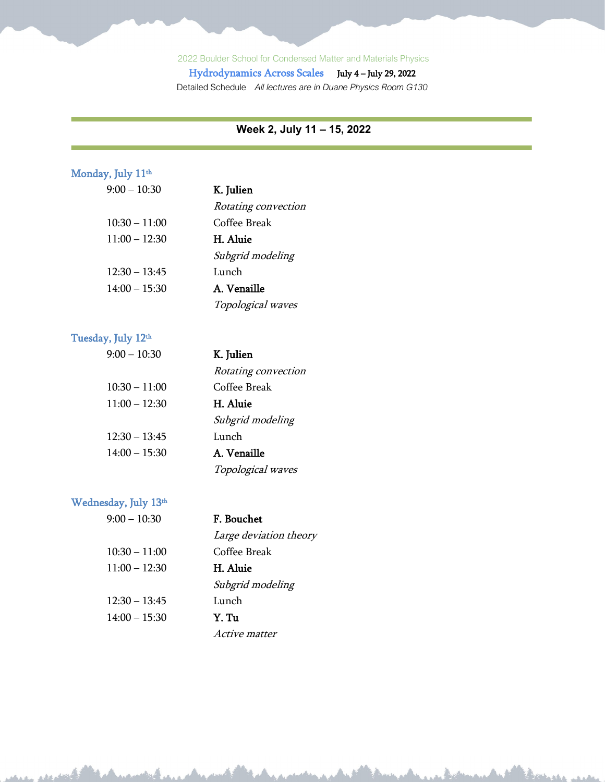Hydrodynamics Across Scales July 4 – July 29, 2022 Detailed Schedule *All lectures are in Duane Physics Room G130*

#### **Week 2, July 11 – 15, 2022**

Bookster us

#### Monday, July 11<sup>th</sup>

| $9:00 - 10:30$  | K. Julien           |
|-----------------|---------------------|
|                 | Rotating convection |
| $10:30 - 11:00$ | Coffee Break        |
| $11:00 - 12:30$ | H. Aluie            |
|                 | Subgrid modeling    |
| $12:30 - 13:45$ | Lunch               |
| $14:00 - 15:30$ | A. Venaille         |
|                 | Topological waves   |

#### Tuesday, July 12<sup>th</sup>

| $9:00 - 10:30$  | K. Julien           |
|-----------------|---------------------|
|                 | Rotating convection |
| $10:30 - 11:00$ | Coffee Break        |
| $11:00 - 12:30$ | <b>H.</b> Aluie     |
|                 | Subgrid modeling    |
| $12:30 - 13:45$ | Lunch               |
| $14:00 - 15:30$ | A. Venaille         |
|                 | Topological waves   |

#### Wednesday, July 13<sup>th</sup>

| $9:00 - 10:30$  | F. Bouchet             |
|-----------------|------------------------|
|                 | Large deviation theory |
| $10:30 - 11:00$ | Coffee Break           |
| $11:00 - 12:30$ | H. Aluie               |
|                 | Subgrid modeling       |
| $12:30 - 13:45$ | Lunch                  |
| $14:00 - 15:30$ | Y. Tu                  |
|                 | Active matter          |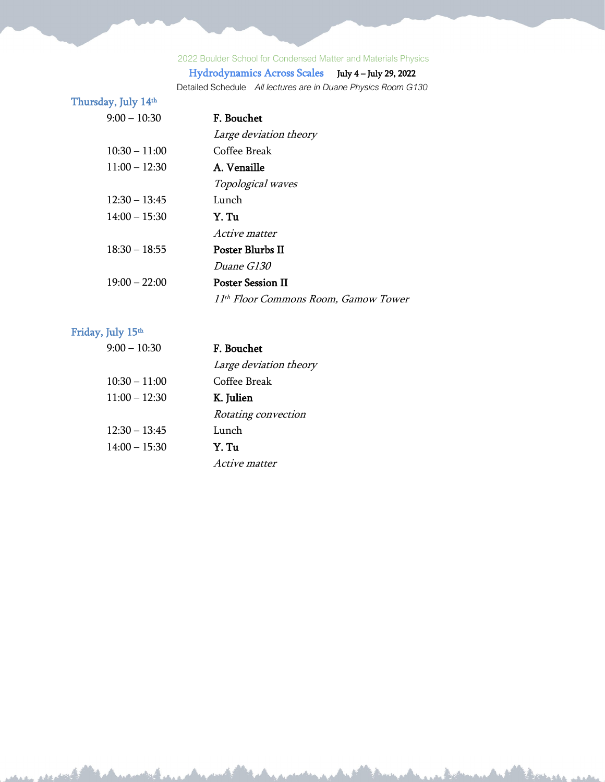## Hydrodynamics Across Scales July 4 – July 29, 2022

Detailed Schedule *All lectures are in Duane Physics Room G130*

the sheath

#### Thursday, July 14th

| $9:00 - 10:30$  | F. Bouchet                           |
|-----------------|--------------------------------------|
|                 | Large deviation theory               |
| $10:30 - 11:00$ | Coffee Break                         |
| $11:00 - 12:30$ | A. Venaille                          |
|                 | Topological waves                    |
| $12:30 - 13:45$ | Lunch                                |
| $14:00 - 15:30$ | Y. Tu                                |
|                 | <i>Active matter</i>                 |
| $18:30 - 18:55$ | Poster Blurbs II                     |
|                 | Duane G130                           |
| $19:00 - 22:00$ | <b>Poster Session II</b>             |
|                 | 11th Floor Commons Room, Gamow Tower |

#### Friday, July 15<sup>th</sup>

| $9:00 - 10:30$  | F. Bouchet             |
|-----------------|------------------------|
|                 | Large deviation theory |
| $10:30 - 11:00$ | Coffee Break           |
| $11:00 - 12:30$ | K. Julien              |
|                 | Rotating convection    |
| $12:30 - 13:45$ | Lunch                  |
| $14:00 - 15:30$ | Y. Tu                  |
|                 | Active matter          |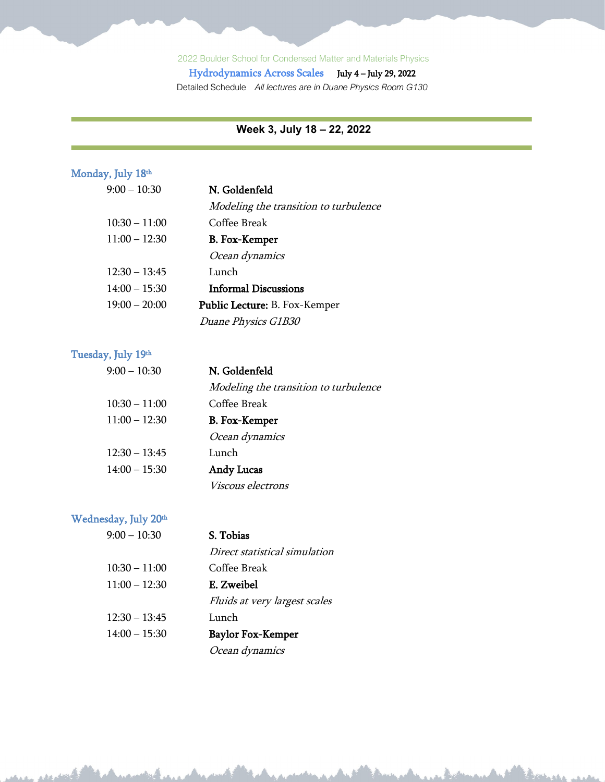Hydrodynamics Across Scales July 4 – July 29, 2022 Detailed Schedule *All lectures are in Duane Physics Room G130*

#### **Week 3, July 18 – 22, 2022**

#### Monday, July 18th

| $9:00 - 10:30$  | N. Goldenfeld                         |
|-----------------|---------------------------------------|
|                 | Modeling the transition to turbulence |
| $10:30 - 11:00$ | Coffee Break                          |
| $11:00 - 12:30$ | B. Fox-Kemper                         |
|                 | Ocean dynamics                        |
| $12:30 - 13:45$ | Lunch                                 |
| $14:00 - 15:30$ | <b>Informal Discussions</b>           |
| $19:00 - 20:00$ | <b>Public Lecture:</b> B. Fox-Kemper  |
|                 | Duane Physics G1B30                   |

#### Tuesday, July 19th

| $9:00 - 10:30$  | N. Goldenfeld                         |
|-----------------|---------------------------------------|
|                 | Modeling the transition to turbulence |
| $10:30 - 11:00$ | Coffee Break                          |
| $11:00 - 12:30$ | <b>B.</b> Fox-Kemper                  |
|                 | Ocean dynamics                        |
| $12:30 - 13:45$ | Lunch                                 |
| $14:00 - 15:30$ | <b>Andy Lucas</b>                     |
|                 | Viscous electrons                     |

marcha al

#### Wednesday, July 20<sup>th</sup>

| $9:00 - 10:30$  | S. Tobias                     |
|-----------------|-------------------------------|
|                 | Direct statistical simulation |
| $10:30 - 11:00$ | Coffee Break                  |
| $11:00 - 12:30$ | E. Zweibel                    |
|                 | Fluids at very largest scales |
| $12:30 - 13:45$ | Lunch                         |
| $14:00 - 15:30$ | Baylor Fox-Kemper             |
|                 | Ocean dynamics                |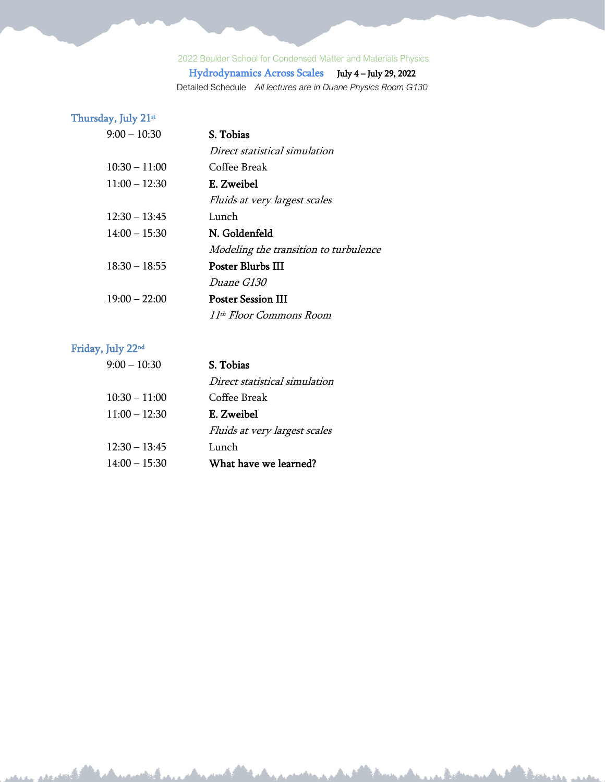# Hydrodynamics Across Scales July 4 – July 29, 2022

Detailed Schedule *All lectures are in Duane Physics Room G130*

#### Thursday, July 21st

| $9:00 - 10:30$  | S. Tobias                             |
|-----------------|---------------------------------------|
|                 | Direct statistical simulation         |
| $10:30 - 11:00$ | Coffee Break                          |
| $11:00 - 12:30$ | E. Zweibel                            |
|                 | Fluids at very largest scales         |
| $12:30 - 13:45$ | Lunch                                 |
| $14:00 - 15:30$ | N. Goldenfeld                         |
|                 | Modeling the transition to turbulence |
| $18:30 - 18:55$ | <b>Poster Blurbs III</b>              |
|                 | <i>Duane G130</i>                     |
| $19:00 - 22:00$ | <b>Poster Session III</b>             |
|                 | 11 <sup>th</sup> Floor Commons Room   |

#### Friday, July 22nd

| $9:00 - 10:30$  | S. Tobias                     |
|-----------------|-------------------------------|
|                 | Direct statistical simulation |
| $10:30 - 11:00$ | Coffee Break                  |
| $11:00 - 12:30$ | E. Zweibel                    |
|                 | Fluids at very largest scales |
| $12:30 - 13:45$ | Lunch                         |
| $14:00 - 15:30$ | What have we learned?         |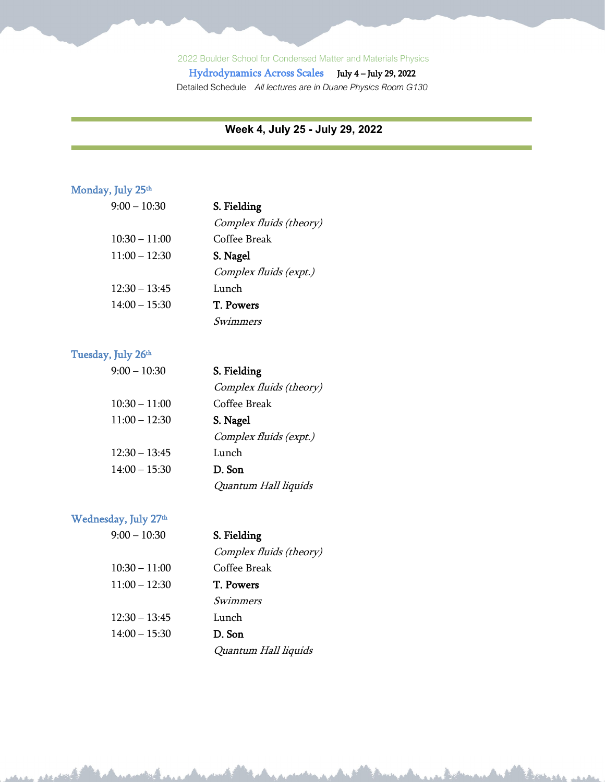Hydrodynamics Across Scales July 4 – July 29, 2022 Detailed Schedule *All lectures are in Duane Physics Room G130*

#### **Week 4, July 25 - July 29, 2022**

Thatha is

#### Monday, July 25<sup>th</sup>

| $9:00 - 10:30$  | S. Fielding             |
|-----------------|-------------------------|
|                 | Complex fluids (theory) |
| $10:30 - 11:00$ | Coffee Break            |
| $11:00 - 12:30$ | S. Nagel                |
|                 | Complex fluids (expt.)  |
| $12:30 - 13:45$ | Lunch                   |
| $14:00 - 15:30$ | T. Powers               |
|                 | Swimmers                |

#### Tuesday, July 26<sup>th</sup>

| $9:00 - 10:30$  | S. Fielding             |
|-----------------|-------------------------|
|                 | Complex fluids (theory) |
| $10:30 - 11:00$ | Coffee Break            |
| $11:00 - 12:30$ | S. Nagel                |
|                 | Complex fluids (expt.)  |
| $12:30 - 13:45$ | Lunch                   |
| $14:00 - 15:30$ | D. Son                  |
|                 | Quantum Hall liquids    |

#### Wednesday, July 27<sup>th</sup>

| $9:00 - 10:30$  | S. Fielding             |
|-----------------|-------------------------|
|                 | Complex fluids (theory) |
| $10:30 - 11:00$ | Coffee Break            |
| $11:00 - 12:30$ | T. Powers               |
|                 | Swimmers                |
| $12:30 - 13:45$ | Lunch                   |
| $14:00 - 15:30$ | D. Son                  |
|                 | Quantum Hall liquids    |